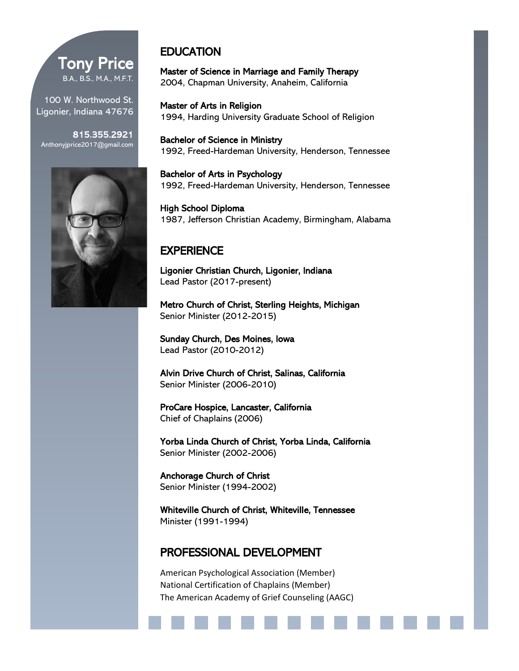# Tony Price B.A., B.S., M.A., M.F.T.

100 W. Northwood St. Ligonier, Indiana 47676

815.355.2921 Anthonyjprice2017@gmail.com



# **EDUCATION**

Master of Science in Marriage and Family Therapy 2004, Chapman University, Anaheim, California

Master of Arts in Religion 1994, Harding University Graduate School of Religion

Bachelor of Science in Ministry 1992, Freed-Hardeman University, Henderson, Tennessee

Bachelor of Arts in Psychology 1992, Freed-Hardeman University, Henderson, Tennessee

High School Diploma 1987, Jefferson Christian Academy, Birmingham, Alabama

## **EXPERIENCE**

Ligonier Christian Church, Ligonier, Indiana Lead Pastor (2017-present)

Metro Church of Christ, Sterling Heights, Michigan Senior Minister (2012-2015)

Sunday Church, Des Moines, Iowa Lead Pastor (2010-2012)

Alvin Drive Church of Christ, Salinas, California Senior Minister (2006-2010)

ProCare Hospice, Lancaster, California Chief of Chaplains (2006)

Yorba Linda Church of Christ, Yorba Linda, California Senior Minister (2002-2006)

Anchorage Church of Christ Senior Minister (1994-2002)

Whiteville Church of Christ, Whiteville, Tennessee Minister (1991-1994)

### PROFESSIONAL DEVELOPMENT

American Psychological Association (Member) National Certification of Chaplains (Member) The American Academy of Grief Counseling (AAGC)